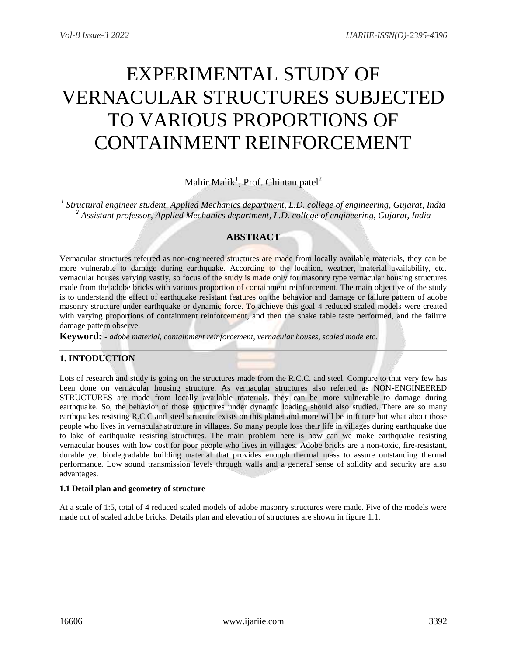# EXPERIMENTAL STUDY OF VERNACULAR STRUCTURES SUBJECTED TO VARIOUS PROPORTIONS OF CONTAINMENT REINFORCEMENT

Mahir Malik<sup>1</sup>, Prof. Chintan patel<sup>2</sup>

*1 Structural engineer student, Applied Mechanics department, L.D. college of engineering, Gujarat, India <sup>2</sup> Assistant professor, Applied Mechanics department, L.D. college of engineering, Gujarat, India*

# **ABSTRACT**

Vernacular structures referred as non-engineered structures are made from locally available materials, they can be more vulnerable to damage during earthquake. According to the location, weather, material availability, etc. vernacular houses varying vastly, so focus of the study is made only for masonry type vernacular housing structures made from the adobe bricks with various proportion of containment reinforcement. The main objective of the study is to understand the effect of earthquake resistant features on the behavior and damage or failure pattern of adobe masonry structure under earthquake or dynamic force. To achieve this goal 4 reduced scaled models were created with varying proportions of containment reinforcement, and then the shake table taste performed, and the failure damage pattern observe.

**Keyword: -** *adobe material, containment reinforcement, vernacular houses, scaled mode etc.*

# **1. INTODUCTION**

Lots of research and study is going on the structures made from the R.C.C. and steel. Compare to that very few has been done on vernacular housing structure. As vernacular structures also referred as NON-ENGINEERED STRUCTURES are made from locally available materials, they can be more vulnerable to damage during earthquake. So, the behavior of those structures under dynamic loading should also studied. There are so many earthquakes resisting R.C.C and steel structure exists on this planet and more will be in future but what about those people who lives in vernacular structure in villages. So many people loss their life in villages during earthquake due to lake of earthquake resisting structures. The main problem here is how can we make earthquake resisting vernacular houses with low cost for poor people who lives in villages. Adobe bricks are a non-toxic, fire-resistant, durable yet biodegradable building material that provides enough thermal mass to assure outstanding thermal performance. Low sound transmission levels through walls and a general sense of solidity and security are also advantages.

# **1.1 Detail plan and geometry of structure**

At a scale of 1:5, total of 4 reduced scaled models of adobe masonry structures were made. Five of the models were made out of scaled adobe bricks. Details plan and elevation of structures are shown in figure 1.1.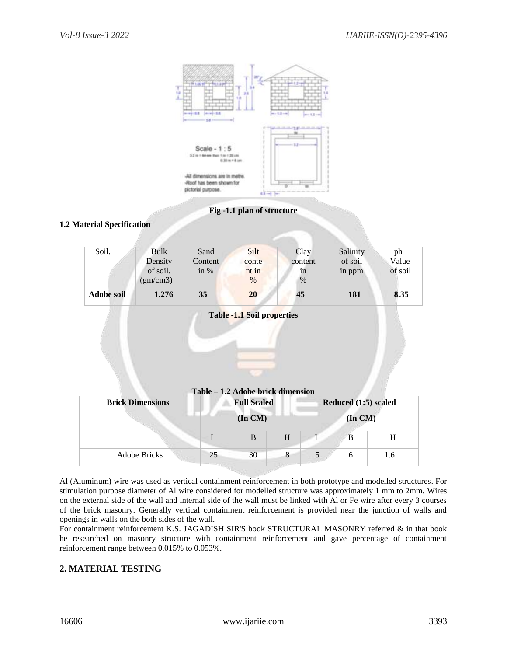

#### **Fig -1.1 plan of structure**

#### **1.2 Material Specification**

|                   |                      |                 | <b>Table -1.1 Soil properties</b> |                 |                     |             |
|-------------------|----------------------|-----------------|-----------------------------------|-----------------|---------------------|-------------|
| <b>Adobe soil</b> | 1.276                | 35              | 20                                | 45              | 181                 | 8.35        |
|                   | of soil.<br>(gm/cm3) | in $%$          | nt in<br>$\%$                     | in<br>$\%$      | in ppm              | of soil     |
| Soil.             | Bulk<br>Density      | Sand<br>Content | Silt<br>conte                     | Clay<br>content | Salinity<br>of soil | ph<br>Value |

| <b>Brick Dimensions</b> |         | Table – 1.2 Adobe brick dimension<br><b>Full Scaled</b> |   | Reduced (1:5) scaled |   |     |
|-------------------------|---------|---------------------------------------------------------|---|----------------------|---|-----|
|                         | (In CM) |                                                         |   | $($ In $CM)$         |   |     |
|                         |         | B                                                       | H |                      | B | H   |
| <b>Adobe Bricks</b>     | 25      | 30                                                      | 8 |                      | 6 | 1.6 |

Al (Aluminum) wire was used as vertical containment reinforcement in both prototype and modelled structures. For stimulation purpose diameter of Al wire considered for modelled structure was approximately 1 mm to 2mm. Wires on the external side of the wall and internal side of the wall must be linked with Al or Fe wire after every 3 courses of the brick masonry. Generally vertical containment reinforcement is provided near the junction of walls and openings in walls on the both sides of the wall.

For containment reinforcement K.S. JAGADISH SIR'S book STRUCTURAL MASONRY referred & in that book he researched on masonry structure with containment reinforcement and gave percentage of containment reinforcement range between 0.015% to 0.053%.

# **2. MATERIAL TESTING**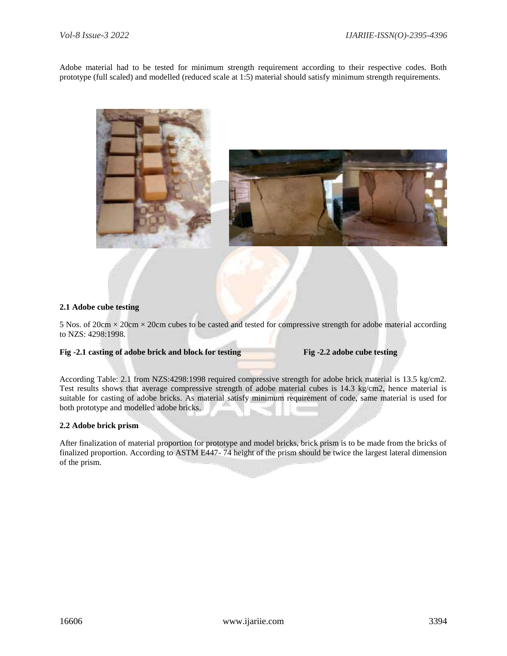Adobe material had to be tested for minimum strength requirement according to their respective codes. Both prototype (full scaled) and modelled (reduced scale at 1:5) material should satisfy minimum strength requirements.





#### **2.1 Adobe cube testing**

5 Nos. of  $20 \text{cm} \times 20 \text{cm} \times 20 \text{cm}$  cubes to be casted and tested for compressive strength for adobe material according to NZS: 4298:1998.

#### **Fig -2.1 casting of adobe brick and block for testing Fig -2.2 adobe cube testing**

According Table: 2.1 from NZS:4298:1998 required compressive strength for adobe brick material is 13.5 kg/cm2. Test results shows that average compressive strength of adobe material cubes is 14.3 kg/cm2, hence material is suitable for casting of adobe bricks. As material satisfy minimum requirement of code, same material is used for both prototype and modelled adobe bricks.

#### **2.2 Adobe brick prism**

After finalization of material proportion for prototype and model bricks, brick prism is to be made from the bricks of finalized proportion. According to ASTM E447- 74 height of the prism should be twice the largest lateral dimension of the prism.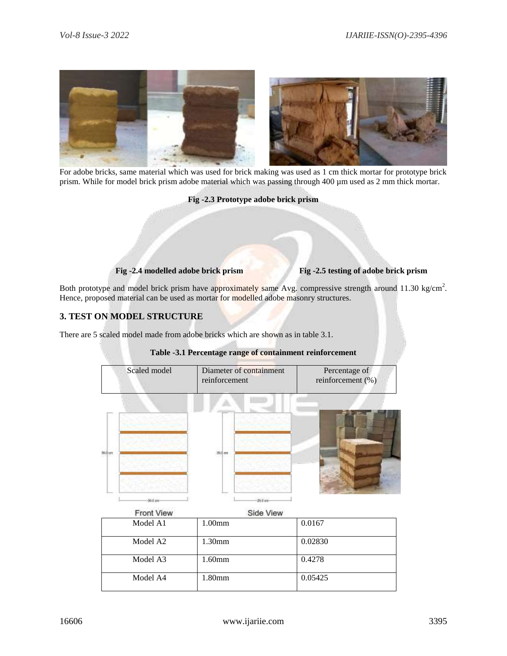

For adobe bricks, same material which was used for brick making was used as 1 cm thick mortar for prototype brick prism. While for model brick prism adobe material which was passing through 400 µm used as 2 mm thick mortar.

**Fig -2.3 Prototype adobe brick prism**

 **Fig -2.4 modelled adobe brick prism Fig -2.5 testing of adobe brick prism**

Both prototype and model brick prism have approximately same Avg. compressive strength around 11.30 kg/cm<sup>2</sup>. Hence, proposed material can be used as mortar for modelled adobe masonry structures.

# **3. TEST ON MODEL STRUCTURE**

There are 5 scaled model made from adobe bricks which are shown as in table 3.1.



### **Table -3.1 Percentage range of containment reinforcement**

| <b>Front View</b> | Side View          |         |  |  |
|-------------------|--------------------|---------|--|--|
| Model A1          | 1.00 <sub>mm</sub> | 0.0167  |  |  |
| Model A2          | $1.30$ mm          | 0.02830 |  |  |
| Model A3          | $1.60$ mm          | 0.4278  |  |  |
| Model A4          | 1.80 <sub>mm</sub> | 0.05425 |  |  |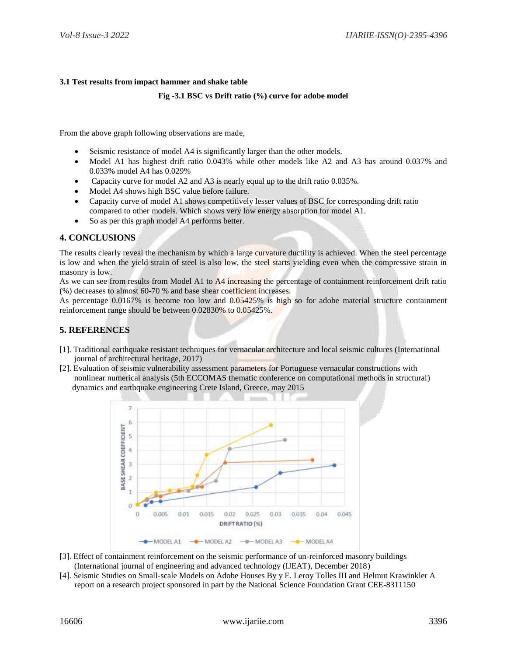### **3.1 Test results from impact hammer and shake table**

#### **Fig -3.1 BSC vs Drift ratio (%) curve for adobe model**

From the above graph following observations are made,

- Seismic resistance of model A4 is significantly larger than the other models.
- Model A1 has highest drift ratio 0.043% while other models like A2 and A3 has around 0.037% and 0.033% model A4 has 0.029%
- Capacity curve for model A2 and A3 is nearly equal up to the drift ratio 0.035%.
- Model A4 shows high BSC value before failure.
- Capacity curve of model A1 shows competitively lesser values of BSC for corresponding drift ratio compared to other models. Which shows very low energy absorption for model A1.
- So as per this graph model A4 performs better.

# **4. CONCLUSIONS**

The results clearly reveal the mechanism by which a large curvature ductility is achieved. When the steel percentage is low and when the yield strain of steel is also low, the steel starts yielding even when the compressive strain in masonry is low.

As we can see from results from Model A1 to A4 increasing the percentage of containment reinforcement drift ratio (%) decreases to almost 60-70 % and base shear coefficient increases.

As percentage 0.0167% is become too low and 0.05425% is high so for adobe material structure containment reinforcement range should be between 0.02830% to 0.05425%.

# **5. REFERENCES**

- [1]. Traditional earthquake resistant techniques for vernacular architecture and local seismic cultures (International journal of architectural heritage, 2017)
- [2]. Evaluation of seismic vulnerability assessment parameters for Portuguese vernacular constructions with nonlinear numerical analysis (5th ECCOMAS thematic conference on computational methods in structural) dynamics and earthquake engineering Crete Island, Greece, may 2015



- [3]. Effect of containment reinforcement on the seismic performance of un-reinforced masonry buildings (International journal of engineering and advanced technology (IJEAT), December 2018)
- [4]. Seismic Studies on Small-scale Models on Adobe Houses By y E. Leroy Tolles III and Helmut Krawinkler A report on a research project sponsored in part by the National Science Foundation Grant CEE-8311150